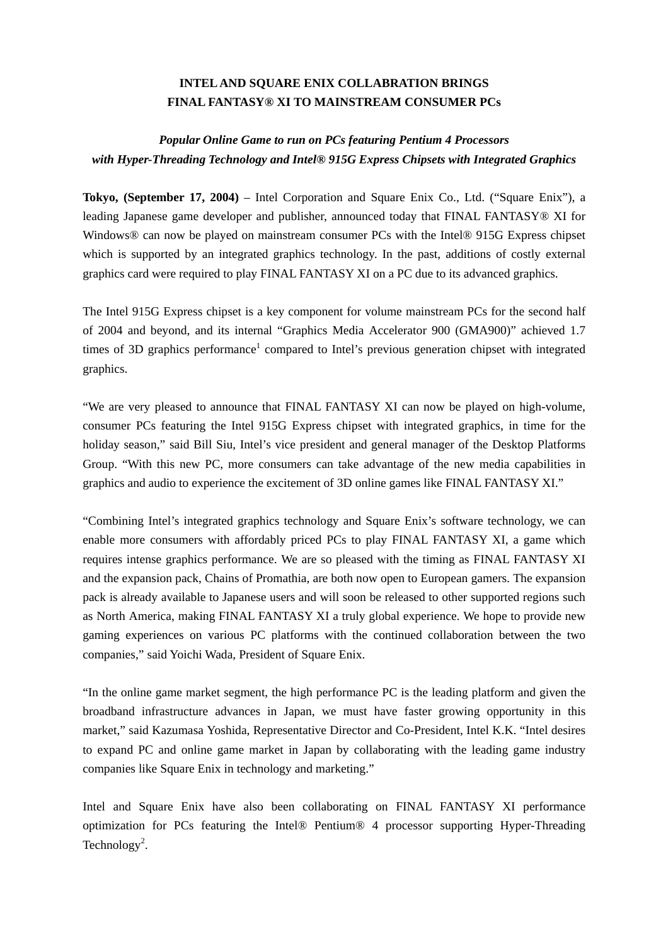## **INTEL AND SQUARE ENIX COLLABRATION BRINGS FINAL FANTASY® XI TO MAINSTREAM CONSUMER PCs**

## *Popular Online Game to run on PCs featuring Pentium 4 Processors with Hyper-Threading Technology and Intel® 915G Express Chipsets with Integrated Graphics*

**Tokyo, (September 17, 2004)** – Intel Corporation and Square Enix Co., Ltd. ("Square Enix"), a leading Japanese game developer and publisher, announced today that FINAL FANTASY® XI for Windows® can now be played on mainstream consumer PCs with the Intel® 915G Express chipset which is supported by an integrated graphics technology. In the past, additions of costly external graphics card were required to play FINAL FANTASY XI on a PC due to its advanced graphics.

The Intel 915G Express chipset is a key component for volume mainstream PCs for the second half of 2004 and beyond, and its internal "Graphics Media Accelerator 900 (GMA900)" achieved 1.7 times of 3D graphics performance<sup>1</sup> compared to Intel's previous generation chipset with integrated graphics.

"We are very pleased to announce that FINAL FANTASY XI can now be played on high-volume, consumer PCs featuring the Intel 915G Express chipset with integrated graphics, in time for the holiday season," said Bill Siu, Intel's vice president and general manager of the Desktop Platforms Group. "With this new PC, more consumers can take advantage of the new media capabilities in graphics and audio to experience the excitement of 3D online games like FINAL FANTASY XI."

"Combining Intel's integrated graphics technology and Square Enix's software technology, we can enable more consumers with affordably priced PCs to play FINAL FANTASY XI, a game which requires intense graphics performance. We are so pleased with the timing as FINAL FANTASY XI and the expansion pack, Chains of Promathia, are both now open to European gamers. The expansion pack is already available to Japanese users and will soon be released to other supported regions such as North America, making FINAL FANTASY XI a truly global experience. We hope to provide new gaming experiences on various PC platforms with the continued collaboration between the two companies," said Yoichi Wada, President of Square Enix.

"In the online game market segment, the high performance PC is the leading platform and given the broadband infrastructure advances in Japan, we must have faster growing opportunity in this market," said Kazumasa Yoshida, Representative Director and Co-President, Intel K.K. "Intel desires to expand PC and online game market in Japan by collaborating with the leading game industry companies like Square Enix in technology and marketing."

Intel and Square Enix have also been collaborating on FINAL FANTASY XI performance optimization for PCs featuring the Intel® Pentium® 4 processor supporting Hyper-Threading Technology<sup>2</sup>.